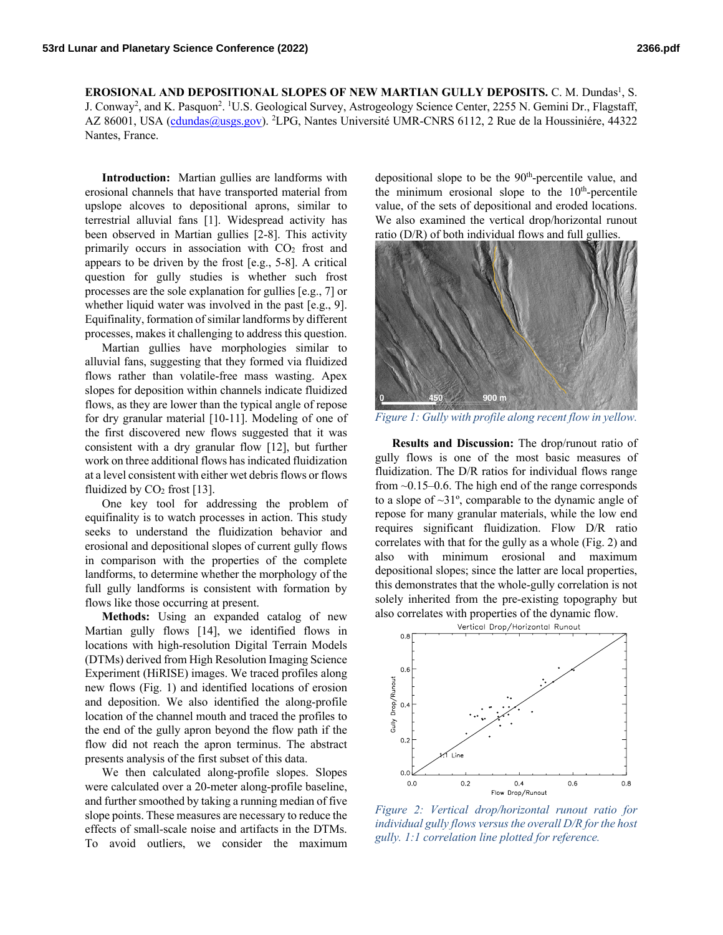EROSIONAL AND DEPOSITIONAL SLOPES OF NEW MARTIAN GULLY DEPOSITS. C. M. Dundas<sup>1</sup>, S. J. Conway<sup>2</sup>, and K. Pasquon<sup>2</sup>. <sup>1</sup>U.S. Geological Survey, Astrogeology Science Center, 2255 N. Gemini Dr., Flagstaff, AZ 86001, USA (cdundas@usgs.gov). <sup>2</sup>LPG, Nantes Université UMR-CNRS 6112, 2 Rue de la Houssiniére, 44322 Nantes, France.

**Introduction:** Martian gullies are landforms with erosional channels that have transported material from upslope alcoves to depositional aprons, similar to terrestrial alluvial fans [1]. Widespread activity has been observed in Martian gullies [2-8]. This activity primarily occurs in association with  $CO<sub>2</sub>$  frost and appears to be driven by the frost [e.g., 5-8]. A critical question for gully studies is whether such frost processes are the sole explanation for gullies [e.g., 7] or whether liquid water was involved in the past [e.g., 9]. Equifinality, formation of similar landforms by different processes, makes it challenging to address this question.

Martian gullies have morphologies similar to alluvial fans, suggesting that they formed via fluidized flows rather than volatile-free mass wasting. Apex slopes for deposition within channels indicate fluidized flows, as they are lower than the typical angle of repose for dry granular material [10-11]. Modeling of one of the first discovered new flows suggested that it was consistent with a dry granular flow [12], but further work on three additional flows has indicated fluidization at a level consistent with either wet debris flows or flows fluidized by  $CO<sub>2</sub>$  frost [13].

One key tool for addressing the problem of equifinality is to watch processes in action. This study seeks to understand the fluidization behavior and erosional and depositional slopes of current gully flows in comparison with the properties of the complete landforms, to determine whether the morphology of the full gully landforms is consistent with formation by flows like those occurring at present.

**Methods:** Using an expanded catalog of new Martian gully flows [14], we identified flows in locations with high-resolution Digital Terrain Models (DTMs) derived from High Resolution Imaging Science Experiment (HiRISE) images. We traced profiles along new flows (Fig. 1) and identified locations of erosion and deposition. We also identified the along-profile location of the channel mouth and traced the profiles to the end of the gully apron beyond the flow path if the flow did not reach the apron terminus. The abstract presents analysis of the first subset of this data.

We then calculated along-profile slopes. Slopes were calculated over a 20-meter along-profile baseline, and further smoothed by taking a running median of five slope points. These measures are necessary to reduce the effects of small-scale noise and artifacts in the DTMs. To avoid outliers, we consider the maximum

depositional slope to be the  $90<sup>th</sup>$ -percentile value, and the minimum erosional slope to the  $10<sup>th</sup>$ -percentile value, of the sets of depositional and eroded locations. We also examined the vertical drop/horizontal runout ratio (D/R) of both individual flows and full gullies.



*Figure 1: Gully with profile along recent flow in yellow.*

**Results and Discussion:** The drop/runout ratio of gully flows is one of the most basic measures of fluidization. The D/R ratios for individual flows range from ~0.15–0.6. The high end of the range corresponds to a slope of ~31º, comparable to the dynamic angle of repose for many granular materials, while the low end requires significant fluidization. Flow D/R ratio correlates with that for the gully as a whole (Fig. 2) and also with minimum erosional and maximum depositional slopes; since the latter are local properties, this demonstrates that the whole-gully correlation is not solely inherited from the pre-existing topography but also correlates with properties of the dynamic flow.



*Figure 2: Vertical drop/horizontal runout ratio for individual gully flows versus the overall D/R for the host gully. 1:1 correlation line plotted for reference.*